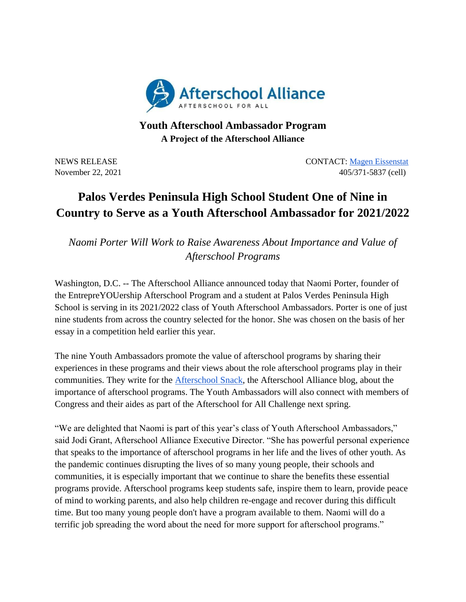

## **Youth Afterschool Ambassador Program A Project of the Afterschool Alliance**

NEWS RELEASE CONTACT: [Magen Eissenstat](mailto:magen@prsolutionsdc.com) November 22, 2021 405/371-5837 (cell)

## **Palos Verdes Peninsula High School Student One of Nine in Country to Serve as a Youth Afterschool Ambassador for 2021/2022**

*Naomi Porter Will Work to Raise Awareness About Importance and Value of Afterschool Programs*

Washington, D.C. -- The Afterschool Alliance announced today that Naomi Porter, founder of the EntrepreYOUership Afterschool Program and a student at Palos Verdes Peninsula High School is serving in its 2021/2022 class of Youth Afterschool Ambassadors. Porter is one of just nine students from across the country selected for the honor. She was chosen on the basis of her essay in a competition held earlier this year.

The nine Youth Ambassadors promote the value of afterschool programs by sharing their experiences in these programs and their views about the role afterschool programs play in their communities. They write for the [Afterschool Snack,](http://www.afterschoolalliance.org/afterschoolsnack/ASnack.cfm) the Afterschool Alliance blog, about the importance of afterschool programs. The Youth Ambassadors will also connect with members of Congress and their aides as part of the Afterschool for All Challenge next spring.

"We are delighted that Naomi is part of this year's class of Youth Afterschool Ambassadors," said Jodi Grant, Afterschool Alliance Executive Director. "She has powerful personal experience that speaks to the importance of afterschool programs in her life and the lives of other youth. As the pandemic continues disrupting the lives of so many young people, their schools and communities, it is especially important that we continue to share the benefits these essential programs provide. Afterschool programs keep students safe, inspire them to learn, provide peace of mind to working parents, and also help children re-engage and recover during this difficult time. But too many young people don't have a program available to them. Naomi will do a terrific job spreading the word about the need for more support for afterschool programs."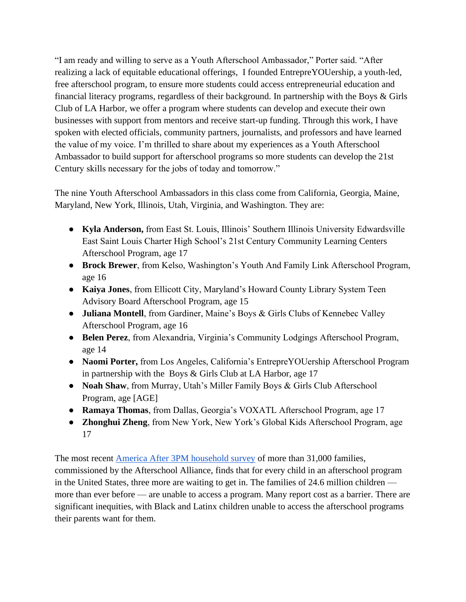"I am ready and willing to serve as a Youth Afterschool Ambassador," Porter said. "After realizing a lack of equitable educational offerings, I founded EntrepreYOUership, a youth-led, free afterschool program, to ensure more students could access entrepreneurial education and financial literacy programs, regardless of their background. In partnership with the Boys & Girls Club of LA Harbor, we offer a program where students can develop and execute their own businesses with support from mentors and receive start-up funding. Through this work, I have spoken with elected officials, community partners, journalists, and professors and have learned the value of my voice. I'm thrilled to share about my experiences as a Youth Afterschool Ambassador to build support for afterschool programs so more students can develop the 21st Century skills necessary for the jobs of today and tomorrow."

The nine Youth Afterschool Ambassadors in this class come from California, Georgia, Maine, Maryland, New York, Illinois, Utah, Virginia, and Washington. They are:

- **Kyla Anderson,** from East St. Louis, Illinois' Southern Illinois University Edwardsville East Saint Louis Charter High School's 21st Century Community Learning Centers Afterschool Program, age 17
- **Brock Brewer**, from Kelso, Washington's Youth And Family Link Afterschool Program, age 16
- **Kaiya Jones**, from Ellicott City, Maryland's Howard County Library System Teen Advisory Board Afterschool Program, age 15
- **Juliana Montell**, from Gardiner, Maine's Boys & Girls Clubs of Kennebec Valley Afterschool Program, age 16
- **Belen Perez**, from Alexandria, Virginia's Community Lodgings Afterschool Program, age 14
- **Naomi Porter,** from Los Angeles, California's EntrepreYOUership Afterschool Program in partnership with the Boys & Girls Club at LA Harbor, age 17
- **Noah Shaw**, from Murray, Utah's Miller Family Boys & Girls Club Afterschool Program, age [AGE]
- **Ramaya Thomas**, from Dallas, Georgia's VOXATL Afterschool Program, age 17
- **Zhonghui Zheng**, from New York, New York's Global Kids Afterschool Program, age 17

The most recent [America After 3PM household survey](http://www.afterschoolalliance.org/AA3PM/) of more than 31,000 families, commissioned by the Afterschool Alliance, finds that for every child in an afterschool program in the United States, three more are waiting to get in. The families of 24.6 million children more than ever before — are unable to access a program. Many report cost as a barrier. There are significant inequities, with Black and Latinx children unable to access the afterschool programs their parents want for them.